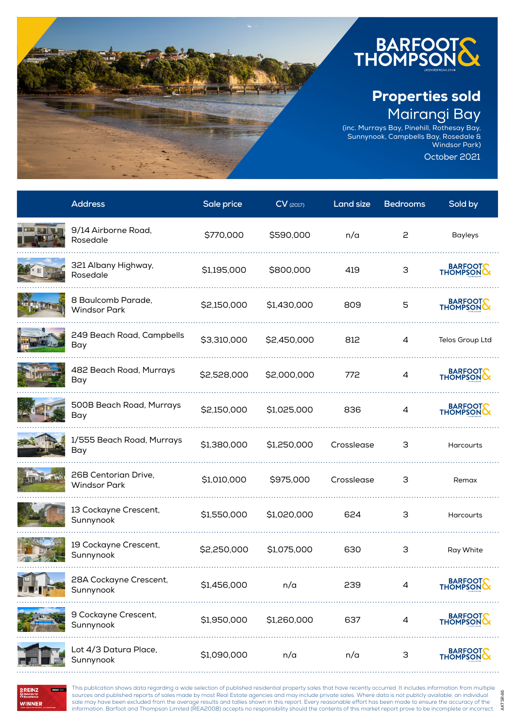

## Properties sold Mairangi Bay

AKTSR46

(inc. Murrays Bay, Pinehill, Rothesay Bay, Sunnynook, Campbells Bay, Rosedale & Windsor Park) October 2021

**Address Sale price CV** (2017) **Land size Bedrooms Sold by** 9/14 Airborne Road, Rosedale \$770,000 \$590,000 n/a <sup>2</sup> Bayleys 321 Albany Highway, BARFOOT Rosedale \$1,195,000 \$800,000 <sup>419</sup> <sup>3</sup> 8 Baulcomb Parade, BARFOOT Windsor Park \$2,150,000 \$1,430,000 <sup>809</sup> <sup>5</sup> . . . . . . . . . . . . . . . . . . . . 249 Beach Road, Campbells Bay \$3,310,000 \$2,450,000 <sup>812</sup> <sup>4</sup> Telos Group Ltd 482 Beach Road, Murrays BARFOOT Bay \$2,528,000 \$2,000,000 <sup>772</sup> <sup>4</sup> 500B Beach Road, Murrays BARFOOT Bay \$2,150,000 \$1,025,000 <sup>836</sup> <sup>4</sup> 1/555 Beach Road, Murrays 1,000 Beach Road, Harrays \$1,380,000 \$1,250,000 Crosslease 3 Harcourts<br>Bay 26B Centorian Drive, Windsor Park \$1,010,000 \$975,000 Crosslease <sup>3</sup> Remax 13 Cockayne Crescent, Sunnynook \$1,550,000 \$1,020,000 <sup>624</sup> <sup>3</sup> Harcourts 19 Cockayne Crescent, Sunnynook \$2,250,000 \$1,075,000 <sup>630</sup> <sup>3</sup> Ray White 28A Cockayne Crescent, BARFOOTS 239 zo Kockayne Crescent, company (st. 456,000 cm/a cm/a 239 cm/a 239 cm/a 239 cm/a 239 cm/a 239 cm/a 239 cm/ 9 Cockayne Crescent, BARFOOT Sunnynook \$1,950,000 \$1,260,000 <sup>637</sup> <sup>4</sup> Lot 4/3 Datura Place, BARFOOT Sunnynook \$1,090,000 n/a n/a <sup>3</sup>



This publication shows data regarding a wide selection of published residential property sales that have recently occurred. It includes information from multiple sources and published reports of sales made by most Real Estate agencies and may include private sales. Where data is not publicly available, an individual sale may have been excluded from the average results and tallies shown in this report. Every reasonable effort has been made to ensure the accuracy of the information. Barfoot and Thompson Limited (REA2008) accepts no responsibility should the contents of this market report prove to be incomplete or incorrect.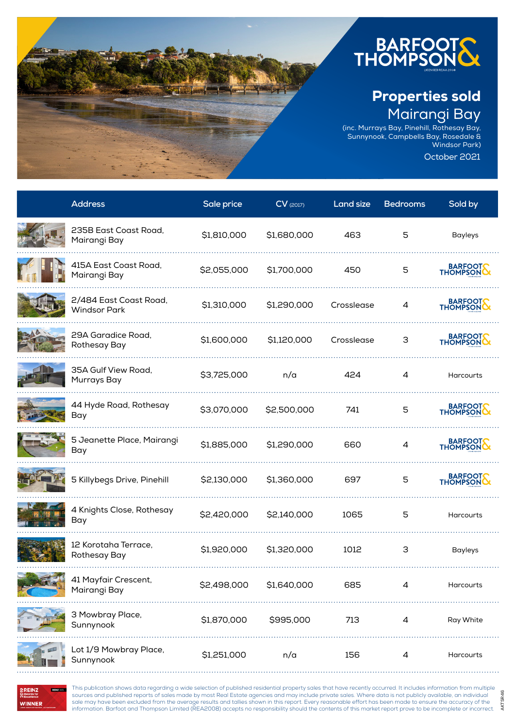

## Properties sold Mairangi Bay

AKTSR46

(inc. Murrays Bay, Pinehill, Rothesay Bay, Sunnynook, Campbells Bay, Rosedale & Windsor Park) October 2021

**Address Sale price CV** (2017) **Land size Bedrooms Sold by** 235B East Coast Road, Mairangi Bay \$1,810,000 \$1,680,000 <sup>463</sup> <sup>5</sup> Bayleys 415A East Coast Road, BARFOOT Mairangi Bay \$2,055,000 \$1,700,000 <sup>450</sup> <sup>5</sup> 2/484 East Coast Road, BARFOOT 2/404 Lust Coust Rouu, \$1,310,000 \$1,290,000 Crosslease 4<br>Windsor Park 29A Garadice Road, **BARFOOTS** Rothesay Bay \$1,600,000 \$1,120,000 Crosslease <sup>3</sup> 35A Gulf View Road, 55,725,000 n/a 424 4 Harcourts<br>Murrays Bay 44 Hyde Road, Rothesay BARFOOTS Bay \$3,070,000 \$2,500,000 <sup>741</sup> <sup>5</sup> 5 Jeanette Place, Mairangi BARFOOT biocalictic Fiacc, Fransıngı ( 1,885,000 \$1,290,000 660 % = 4<br>Bay BARFOOT 5 Killybegs Drive, Pinehill  $$2,130,000$  \$1,360,000 697 5 4 Knights Close, Rothesay Animgrits Close, Notricsay \$2,420,000 \$2,140,000 1065 5 Harcourts<br>Bay 12 Korotaha Terrace, Rothesay Bay \$1,920,000 \$1,320,000 <sup>1012</sup> <sup>3</sup> Bayleys 41 Mayfair Crescent, 41 Iaylan Crescent, \$2,498,000 \$1,640,000 685 4 Harcourts<br>Mairangi Bay <u>. . . . . . . . . . . . . . .</u> 3 Mowbray Place, Sunnynook \$1,870,000 \$995,000 <sup>713</sup> <sup>4</sup> Ray White . . . . . . . . . . . . . . . Lot 1/9 Mowbray Place, Sunnynook \$1,251,000 n/a <sup>156</sup> <sup>4</sup> Harcourts

WINNER

This publication shows data regarding a wide selection of published residential property sales that have recently occurred. It includes information from multiple sources and published reports of sales made by most Real Estate agencies and may include private sales. Where data is not publicly available, an individual sale may have been excluded from the average results and tallies shown in this report. Every reasonable effort has been made to ensure the accuracy of the information. Barfoot and Thompson Limited (REA2008) accepts no responsibility should the contents of this market report prove to be incomplete or incorrect.